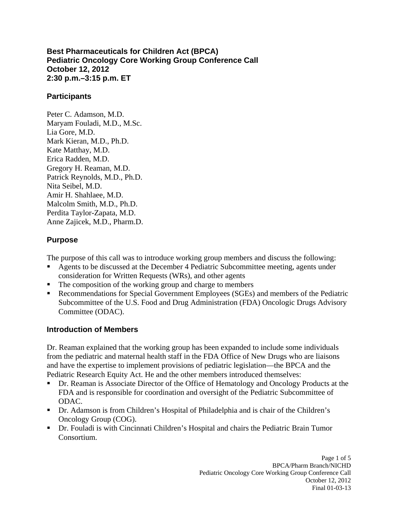**Best Pharmaceuticals for Children Act (BPCA) Pediatric Oncology Core Working Group Conference Call October 12, 2012 2:30 p.m.–3:15 p.m. ET** 

#### **Participants**

Peter C. Adamson, M.D. Maryam Fouladi, M.D., M.Sc. Lia Gore, M.D. Mark Kieran, M.D., Ph.D. Kate Matthay, M.D. Erica Radden, M.D. Gregory H. Reaman, M.D. Patrick Reynolds, M.D., Ph.D. Nita Seibel, M.D. Amir H. Shahlaee, M.D. Malcolm Smith, M.D., Ph.D. Perdita Taylor-Zapata, M.D. Anne Zajicek, M.D., Pharm.D.

## **Purpose**

The purpose of this call was to introduce working group members and discuss the following:

- Agents to be discussed at the December 4 Pediatric Subcommittee meeting, agents under consideration for Written Requests (WRs), and other agents
- The composition of the working group and charge to members
- Recommendations for Special Government Employees (SGEs) and members of the Pediatric Subcommittee of the U.S. Food and Drug Administration (FDA) Oncologic Drugs Advisory Committee (ODAC).

# **Introduction of Members**

Dr. Reaman explained that the working group has been expanded to include some individuals from the pediatric and maternal health staff in the FDA Office of New Drugs who are liaisons and have the expertise to implement provisions of pediatric legislation—the BPCA and the Pediatric Research Equity Act. He and the other members introduced themselves:

- Dr. Reaman is Associate Director of the Office of Hematology and Oncology Products at the FDA and is responsible for coordination and oversight of the Pediatric Subcommittee of ODAC.
- Dr. Adamson is from Children's Hospital of Philadelphia and is chair of the Children's Oncology Group (COG).
- Dr. Fouladi is with Cincinnati Children's Hospital and chairs the Pediatric Brain Tumor Consortium.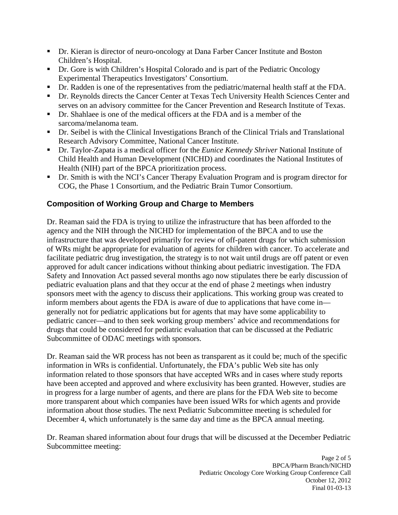- Dr. Kieran is director of neuro-oncology at Dana Farber Cancer Institute and Boston Children's Hospital.
- Dr. Gore is with Children's Hospital Colorado and is part of the Pediatric Oncology Experimental Therapeutics Investigators' Consortium.
- Dr. Radden is one of the representatives from the pediatric/maternal health staff at the FDA.
- Dr. Reynolds directs the Cancer Center at Texas Tech University Health Sciences Center and serves on an advisory committee for the Cancer Prevention and Research Institute of Texas.
- Dr. Shahlaee is one of the medical officers at the FDA and is a member of the sarcoma/melanoma team.
- Dr. Seibel is with the Clinical Investigations Branch of the Clinical Trials and Translational Research Advisory Committee, National Cancer Institute.
- Dr. Taylor-Zapata is a medical officer for the *Eunice Kennedy Shriver* National Institute of Child Health and Human Development (NICHD) and coordinates the National Institutes of Health (NIH) part of the BPCA prioritization process.
- Dr. Smith is with the NCI's Cancer Therapy Evaluation Program and is program director for COG, the Phase 1 Consortium, and the Pediatric Brain Tumor Consortium.

# **Composition of Working Group and Charge to Members**

Dr. Reaman said the FDA is trying to utilize the infrastructure that has been afforded to the agency and the NIH through the NICHD for implementation of the BPCA and to use the infrastructure that was developed primarily for review of off-patent drugs for which submission of WRs might be appropriate for evaluation of agents for children with cancer. To accelerate and facilitate pediatric drug investigation, the strategy is to not wait until drugs are off patent or even approved for adult cancer indications without thinking about pediatric investigation. The FDA Safety and Innovation Act passed several months ago now stipulates there be early discussion of pediatric evaluation plans and that they occur at the end of phase 2 meetings when industry sponsors meet with the agency to discuss their applications. This working group was created to inform members about agents the FDA is aware of due to applications that have come in–– generally not for pediatric applications but for agents that may have some applicability to pediatric cancer––and to then seek working group members' advice and recommendations for drugs that could be considered for pediatric evaluation that can be discussed at the Pediatric Subcommittee of ODAC meetings with sponsors.

Dr. Reaman said the WR process has not been as transparent as it could be; much of the specific information in WRs is confidential. Unfortunately, the FDA's public Web site has only information related to those sponsors that have accepted WRs and in cases where study reports have been accepted and approved and where exclusivity has been granted. However, studies are in progress for a large number of agents, and there are plans for the FDA Web site to become more transparent about which companies have been issued WRs for which agents and provide information about those studies. The next Pediatric Subcommittee meeting is scheduled for December 4, which unfortunately is the same day and time as the BPCA annual meeting.

Dr. Reaman shared information about four drugs that will be discussed at the December Pediatric Subcommittee meeting: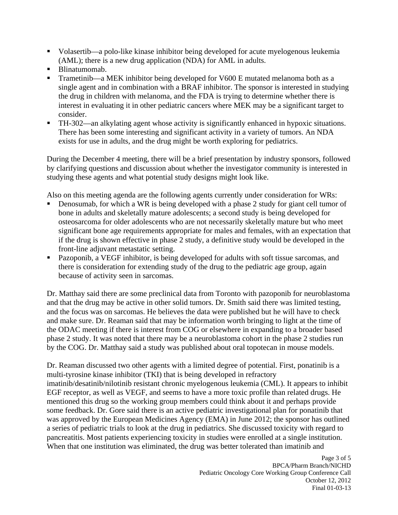- Volasertib—a polo-like kinase inhibitor being developed for acute myelogenous leukemia (AML); there is a new drug application (NDA) for AML in adults.
- Blinatumomab.
- Trametinib—a MEK inhibitor being developed for V600 E mutated melanoma both as a single agent and in combination with a BRAF inhibitor. The sponsor is interested in studying the drug in children with melanoma, and the FDA is trying to determine whether there is interest in evaluating it in other pediatric cancers where MEK may be a significant target to consider.
- TH-302––an alkylating agent whose activity is significantly enhanced in hypoxic situations. There has been some interesting and significant activity in a variety of tumors. An NDA exists for use in adults, and the drug might be worth exploring for pediatrics.

During the December 4 meeting, there will be a brief presentation by industry sponsors, followed by clarifying questions and discussion about whether the investigator community is interested in studying these agents and what potential study designs might look like.

Also on this meeting agenda are the following agents currently under consideration for WRs:

- Denosumab, for which a WR is being developed with a phase 2 study for giant cell tumor of bone in adults and skeletally mature adolescents; a second study is being developed for osteosarcoma for older adolescents who are not necessarily skeletally mature but who meet significant bone age requirements appropriate for males and females, with an expectation that if the drug is shown effective in phase 2 study, a definitive study would be developed in the front-line adjuvant metastatic setting.
- Pazoponib, a VEGF inhibitor, is being developed for adults with soft tissue sarcomas, and there is consideration for extending study of the drug to the pediatric age group, again because of activity seen in sarcomas.

Dr. Matthay said there are some preclinical data from Toronto with pazoponib for neuroblastoma and that the drug may be active in other solid tumors. Dr. Smith said there was limited testing, and the focus was on sarcomas. He believes the data were published but he will have to check and make sure. Dr. Reaman said that may be information worth bringing to light at the time of the ODAC meeting if there is interest from COG or elsewhere in expanding to a broader based phase 2 study. It was noted that there may be a neuroblastoma cohort in the phase 2 studies run by the COG. Dr. Matthay said a study was published about oral topotecan in mouse models.

Dr. Reaman discussed two other agents with a limited degree of potential. First, ponatinib is a multi-tyrosine kinase inhibitor (TKI) that is being developed in refractory imatinib/desatinib/nilotinib resistant chronic myelogenous leukemia (CML). It appears to inhibit EGF receptor, as well as VEGF, and seems to have a more toxic profile than related drugs. He mentioned this drug so the working group members could think about it and perhaps provide some feedback. Dr. Gore said there is an active pediatric investigational plan for ponatinib that was approved by the European Medicines Agency (EMA) in June 2012; the sponsor has outlined a series of pediatric trials to look at the drug in pediatrics. She discussed toxicity with regard to pancreatitis. Most patients experiencing toxicity in studies were enrolled at a single institution. When that one institution was eliminated, the drug was better tolerated than imatinib and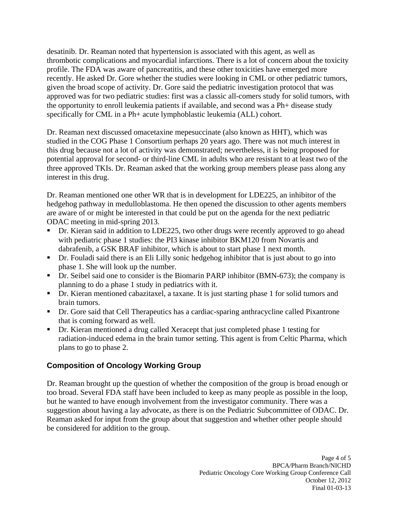desatinib. Dr. Reaman noted that hypertension is associated with this agent, as well as thrombotic complications and myocardial infarctions. There is a lot of concern about the toxicity profile. The FDA was aware of pancreatitis, and these other toxicities have emerged more recently. He asked Dr. Gore whether the studies were looking in CML or other pediatric tumors, given the broad scope of activity. Dr. Gore said the pediatric investigation protocol that was approved was for two pediatric studies: first was a classic all-comers study for solid tumors, with the opportunity to enroll leukemia patients if available, and second was a Ph+ disease study specifically for CML in a Ph+ acute lymphoblastic leukemia (ALL) cohort.

Dr. Reaman next discussed omacetaxine mepesuccinate (also known as HHT), which was studied in the COG Phase 1 Consortium perhaps 20 years ago. There was not much interest in this drug because not a lot of activity was demonstrated; nevertheless, it is being proposed for potential approval for second- or third-line CML in adults who are resistant to at least two of the three approved TKIs. Dr. Reaman asked that the working group members please pass along any interest in this drug.

Dr. Reaman mentioned one other WR that is in development for LDE225, an inhibitor of the hedgehog pathway in medulloblastoma. He then opened the discussion to other agents members are aware of or might be interested in that could be put on the agenda for the next pediatric ODAC meeting in mid-spring 2013.

- Dr. Kieran said in addition to LDE225, two other drugs were recently approved to go ahead with pediatric phase 1 studies: the PI3 kinase inhibitor BKM120 from Novartis and dabrafenib, a GSK BRAF inhibitor, which is about to start phase 1 next month.
- Dr. Fouladi said there is an Eli Lilly sonic hedgehog inhibitor that is just about to go into phase 1. She will look up the number.
- Dr. Seibel said one to consider is the Biomarin PARP inhibitor (BMN-673); the company is planning to do a phase 1 study in pediatrics with it.
- Dr. Kieran mentioned cabazitaxel, a taxane. It is just starting phase 1 for solid tumors and brain tumors.
- Dr. Gore said that Cell Therapeutics has a cardiac-sparing anthracycline called Pixantrone that is coming forward as well.
- Dr. Kieran mentioned a drug called Xeracept that just completed phase 1 testing for radiation-induced edema in the brain tumor setting. This agent is from Celtic Pharma, which plans to go to phase 2.

### **Composition of Oncology Working Group**

Dr. Reaman brought up the question of whether the composition of the group is broad enough or too broad. Several FDA staff have been included to keep as many people as possible in the loop, but he wanted to have enough involvement from the investigator community. There was a suggestion about having a lay advocate, as there is on the Pediatric Subcommittee of ODAC. Dr. Reaman asked for input from the group about that suggestion and whether other people should be considered for addition to the group.